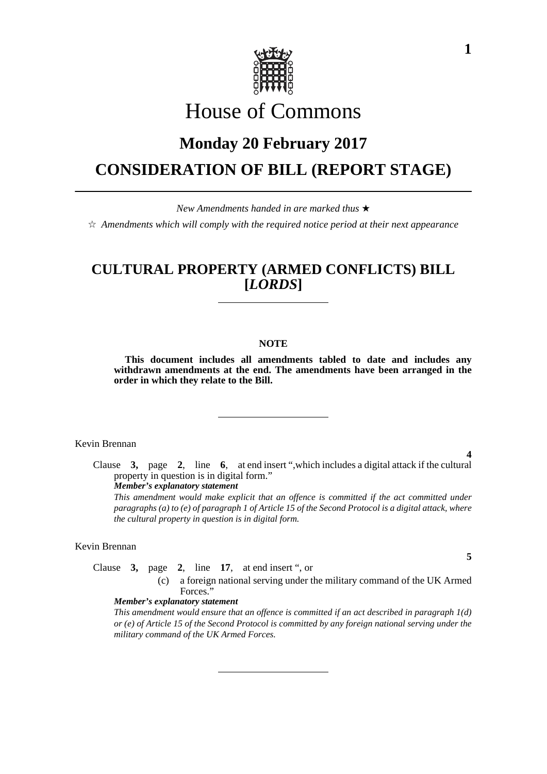

# House of Commons

# **Monday 20 February 2017 CONSIDERATION OF BILL (REPORT STAGE)**

*New Amendments handed in are marked thus* 

 $\dot{\mathbb{X}}$  Amendments which will comply with the required notice period at their next appearance

# **CULTURAL PROPERTY (ARMED CONFLICTS) BILL [***LORDS***]**

#### **NOTE**

**This document includes all amendments tabled to date and includes any withdrawn amendments at the end. The amendments have been arranged in the order in which they relate to the Bill.**

Kevin Brennan

Clause **3,** page **2**, line **6**, at end insert ",which includes a digital attack if the cultural property in question is in digital form."

*Member's explanatory statement* 

*This amendment would make explicit that an offence is committed if the act committed under paragraphs (a) to (e) of paragraph 1 of Article 15 of the Second Protocol is a digital attack, where the cultural property in question is in digital form.*

## Kevin Brennan

Clause **3,** page **2**, line **17**, at end insert ", or

(c) a foreign national serving under the military command of the UK Armed Forces."

### *Member's explanatory statement*

*This amendment would ensure that an offence is committed if an act described in paragraph 1(d) or (e) of Article 15 of the Second Protocol is committed by any foreign national serving under the military command of the UK Armed Forces.*

**1**

# **5**

**4**